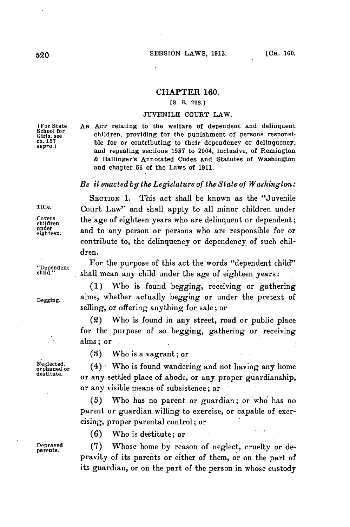### CHAPTER **160.**

## **[S.** B. **298.]**

#### **JUVENILE COURT** LAW.

(For State *AN ACT relating to the welfare of dependent and delinquent* School for children, providing for the punishment of persons responsi-<br>ch.157 ble for or contributing to their dependency or delinquency,<br>*supra.*) ble for or contributing to their dependency or delinquency, and repealing sections **1987** to 2004, inclusive, of Remington **&** Ballinger's Annotated Codes and Statutes of Washington and chapter **56** of the Laws of **1911.**

# *Be it enacted by the Legislature of the State of Washington:*

SECTION **1.** This act shall be known as the "Juvenile Title. Court Law" and shall apply to all minor children under Covers the age of eighteen years who are delinquent or dependent;<br>children and to any person or persons who are responsible for an under and to any person or persons who are responsible for or contribute to, the delinquency or dependency of such children.

For the purpose of this act the words "dependent child" "Dependent **child."** shall mean any child under the age of eighteen years:

**(1)** Who is found begging, receiving or gathering Begging. alms, whether actually begging or under the pretext of selling, or offering anything for sale; or

> (2) Who is found in any street, road or public place for the purpose of so begging, gathering or receiving alms; or

Neglected, (4) Who is found wandering and not having any home destitute. or any settled place of abode, or any proper guardianship, or any visible means of subsistence; or

> **(5)** Who has no parent or guardian; or who has no parent or guardian willing to exercise, or capable of exercising, proper parental control; or

**(6)** Who is destitute; or

**(3)** Who is a vagrant; or

Deraed **(7)** Whose home **by** reason of neglect, cruelty or depravity of its parents or either of them, or on the part of its guardian, or on the part of the person in whose custody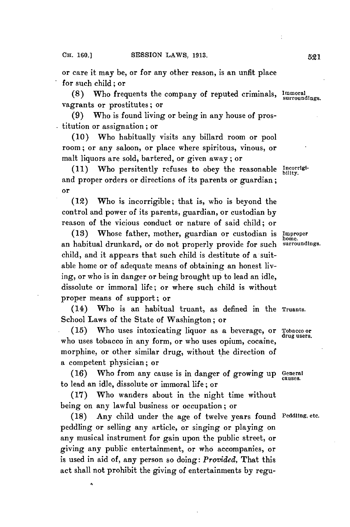or care it may be, or for any other reason, is an unfit place for such child; or

(8) Who frequents the company of reputed criminals, *Immoral* surroundings. vagrants or prostitutes; or

**(9)** Who is found living or being in any house of prostitution or assignation; or

**(10)** Who habitually visits any billard room or pool room; or any saloon, or place where spiritous, vinous, or malt liquors are sold, bartered, or given away; or

(11) Who persitently refuses to obey the reasonable Incorrigiand proper orders or directions of its parents or guardian; or

(12) Who is incorrigible; that is, who is beyond the control and power of its parents, guardian, or custodian **by** reason of the vicious conduct or nature of said child; or

**(18)** Whose father, mother, guardian or custodian is **Improper** an habitual drunkard, or do not properly provide for such child, and it appears that such child is destitute of a suitable home or of adequate means of obtaining an honest living, or who is in danger or being brought up to lead an idle, dissolute or immoral life; or where such child is without proper means of support; or

(14) Who is an habitual truant, as defined in the **Truants.** School Laws of the State of Washington; or

*(15)* Who uses intoxicating liquor as a beverage, or **Tobacco or** who uses tobacco in any form, or who uses opium, cocaine, morphine, or other similar drug, without the direction of a competent physician; or

**(16)** Who from any cause is in danger of growing up **General** to lead an idle, dissolute or immoral life; or

**(17)** Who wanders about in the night time without being on any lawful business or occupation; or

**(18)** Any child under the age of twelve years found **Peddling, etc.** peddling or selling any article, or singing or playing on any musical instrument for gain upon the public street, or giving any public entertainment, or who accompanies, or is used in aid of, any person so doing: *Provided,* That this act shall not prohibit the giving of entertainments **by** regu-

surroundings.

cRuses.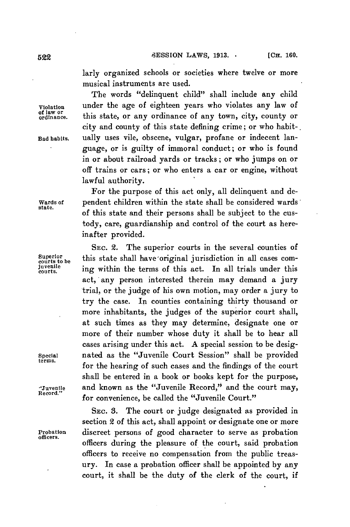larly organized schools or societies where twelve or more musical instruments are used.

The words "delinquent child" shall include any child **Violation** under the age of eighteen years who violates any law of **of law or ordinance.** this state, or any ordinance of any town, city, county or city and county of this state defining crime; or who habit-. **Bad habits.** ually uses vile, obscene, vulgar, profane or indecent language, or is guilty of immoral conduct; or who is found in or about railroad yards or tracks; or who jumps on or off trains or cars; or who enters a car or engine, without lawful authority.

For the purpose of this act only, all delinquent and de-**Wards of** pendent children within the state shall be considered wards' **state.** of this state and their persons shall be subject to the custody, care, guardianship and control of the court as hereinafter provided.

**SEC.** 2. The superior courts in the several counties of **proprietion** be this state shall have original jurisdiction in all cases com-<br>courts to be high more interesting to the actual thinks under this **courts.** ing within the terms of this act. In all trials under this act, any person interested therein may demand a jury trial, or the judge of his own motion, may order a jury to try the case. **In** counties containing thirty thousand or more inhabitants, the judges of the superior court shall, at such times as they may determine, designate one or more of their number whose duty it shall be to hear all cases arising under this act. **A** special session to be desig-**Special** nated as the "Juvenile Court Session" shall be provided **terms.** for the hearing of such cases and the findings of the court shall be entered in a book or books kept for the purpose, **"Juvenile** and known as the "Juvenile Record," and the court may, for convenience, be called the "Juvenile Court."

**SEC. 3.** The court or judge designated as provided in section 2 of this act, shall appoint or designate one or more **Probation** discreet persons of good character to serve as probation **officers.** officers during the pleasure of the court, said probation officers to receive no compensation from the public treasury. In case a probation officer shall be appointed **by** any court, it shall be the duty of the clerk of the court, if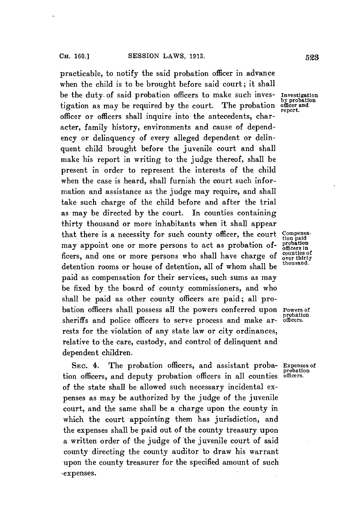practicable, to notify the said probation officer in advance when the child is to be brought before said court; it shall be the duty. of said probation officers to make such inves- **Investigation** tigation as may be required by the court. The probation officer officer or officers shall inquire into the antecedents, character, family history, environments and cause of dependency or delinquency of every alleged dependent or delinquent child brought before the juvenile court and shall make his report in writing to the judge thereof, shall be present in order to represent the interests of the child when the case is heard, shall furnish the court such information and assistance as the judge may require, and shall take such charge of the child before and after the trial as may be directed **by** the court. In counties containing thirty thousand or more inhabitants when it shall appear that there is a necessity for such county officer, the court compensa-<br>may appoint one or more persons to act as probation of probation may appoint one or more persons to act as probation of- probation<br>**Comparison** and ane or more persons who shall have shapes of counties of ficers, and one or more persons who shall have charge of ounties of our third over thirty detention rooms or house of detention, all of whom shall be **thousand.** paid as compensation for their services, such sums as may be fixed **by** the board of county commissioners, and who shall be paid as other county officers are paid; all probation officers shall possess all the powers conferred upon **Powers of** sheriffs and police officers to serve process and make arrests for the violation of any state law or city ordinances, relative to the care, custody, and control of delinquent and dependent children.

SEc. 4. The probation officers, and assistant proba- **Expenses of** tion officers, and deputy probation officers in all counties **officers.** of the state shall be allowed such necessary incidental expenses as may be authorized **by** the judge of the juvenile court, and the same shall be a charge upon the county in which the court appointing them has jurisdiction, and the expenses shall be paid out of the county treasury upon a written order of the judge of the juvenile court of said county directing the county auditor to draw his warrant upon the county treasurer for the specified amount of such expenses.

**by** probation

**probation**

probation<br>officers.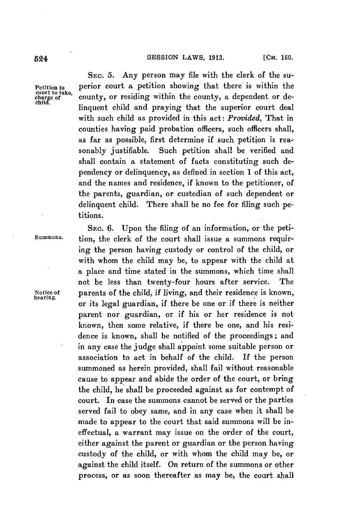**SEc. 5.** Any person may file with the clerk of the su-**Petition to** perior court a petition showing that there is within the court to take, county, or residing within the county, a dependent or delinquent child and praying that the superior court deal with such child as provided in this act: *Provided,* That in counties having paid probation officers, such officers shall, as far as possible, first determine if such petition is reasonably justifiable. Such petition shall be verified and shall contain a statement of facts constituting such dependency or delinquency, as defined in section 1 of this act, and the names and residence, if known to the petitioner, of the parents, guardian, or custodian of such dependent or delinquent child. There shall be no fee for filing such pe-

titions. SEC. 6. Upon the filing of an information, or the peti-**Summons.** tion, the clerk of the court shall issue a summons requiring the person having custody or control of the child, or with whom the child may be, to appear with the child at a place and time stated in the summons, which time shall not be less than twenty-four hours after service. The **Notice of** parents of the child, if living, and their residence is known, **hearing.** or its legal guardian, if there be one or if there is neither parent nor guardian, or if his or her residence is not known, then some relative, if there be one, and his residence is known, shall be notified of the proceedings; and in any case the judge shall appoint some suitable person or association to act in behalf of the child. If the person summoned as herein provided, shall fail without reasonable cause to appear and abide the order of the court, or bring the child, he shall be proceeded against as for contempt of court. In case the summons cannot be served or the parties served fail to obey same, and in any case when it shall be made to appear to the court that said summons will be ineffectual, a warrant may issue on the order of the court, either against the parent or guardian or the person having custody of the child, or with whom the child may be, or against the child itself. On return of the summons or other process, or as soon thereafter as may be, the court shall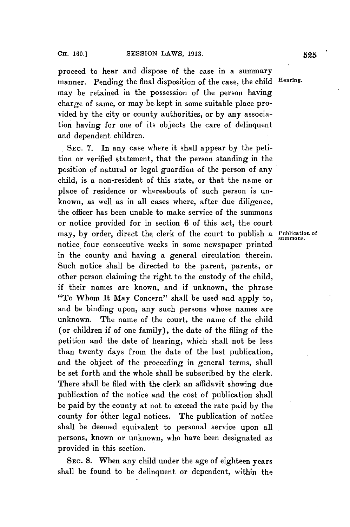proceed to hear and dispose of the case in a summary manner. Pending the final disposition of the case, the child **Hearing.** may be retained in the possession of the person having charge of same, or may be kept in some suitable place provided **by** the city or county authorities, or **by** any association having for one of its objects the care of delinquent and dependent children.

**SEC. 7.** In any case where it shall appear **by** the petition or verified statement, that the person standing in the position of natural or legal guardian of the person of any child, is a non-resident of this state, or that the name or place of residence or whereabouts of such person is unknown, as well as in all cases where, after due diligence, the officer has been unable to make service of the summons or notice provided for in section **6** of this act, the court may, by order, direct the clerk of the court to publish a **Publication** of notice four consecutive weeks in some newspaper printed in the county and having a general circulation therein. Such notice shall be directed to the parent, parents, or other person claiming the right to the custody of the child, if their names are known, and if unknown, the phrase "To Whom It May Concern" shall be used and apply to, and be binding upon, any such persons whose names are unknown. The name of the court, the name of the child (or children if of one family), the date of the filing of the petition and the date of hearing, which shall not be less than twenty days from the date of the last publication, and the object of the proceeding in general terms, shall be set forth and the whole shall be subscribed **by** the clerk. There shall be filed with the clerk an affidavit showing due publication of the notice and the cost of publication shall be paid **by** the county at not to exceed the rate paid **by** the county for other legal notices. The publication of notice shall be deemed equivalent to personal service upon all persons, known or unknown, who have been designated as provided in this section.

SEC. **8.** When any child under the age of eighteen years shall be found to be delinquent or dependent, within the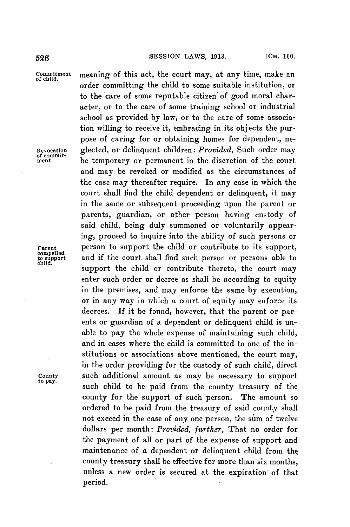**SESSION** LAWS, **1913.** [CH. **160. 526**

Commitment meaning of this act, the court may, at any time, make an of child. order committing the child to some suitable institution, or to the care of some reputable citizen of good moral character, or to the care of some training school or industrial school as provided **by** law, or to the care of some association willing to receive it, embracing in its objects the purpose of caring for or obtaining homes for dependent, ne-Revocation glected, or delinquent children: *Provided*, Such order may of commit-<br>present the **commit-**<br>ment. be temporary or permanent in the discretion of the court and may be revoked or modified as the circumstances of the case may thereafter require. In any case in which the court shall find the child dependent or delinquent, it may in the same or subsequent proceeding upon the parent or parents, guardian, or other person having custody of said child, being duly summoned or voluntarily appearing, proceed to inquire into the ability of such persons or Parent person to support the child or contribute to its support,<br>to support and if the court shall find such person or persons able to to support and if the court shall find such person or persons able to child. support the child or contribute thereto, the court may enter such order or decree as shall be according to equity in the premises, and may enforce the same **by** execution, or in any way in which a court of equity may enforce its decrees. **If** it be found, however, that the parent or parents or guardian of a dependent or delinquent child is unable to pay the whole expense of maintaining such child, and in cases where the child is committed to one of the institutions or associations above mentioned, the court may, in the order providing for the custody of such child, direct County such additional amount as may be necessary to support to pay. such child to be paid from the county treasury of the county for the support of such person. The amount so ordered to be paid from the treasury of said county shall not exceed in the case of any one person, the sum of twelve dollars per month: *Provided, further,* That no order for the payment of all or part of the expense of support and maintenance of a dependent or delinquent child from the county treasury shall be effective for more than six months, unless a new order is secured at the expiration of that period.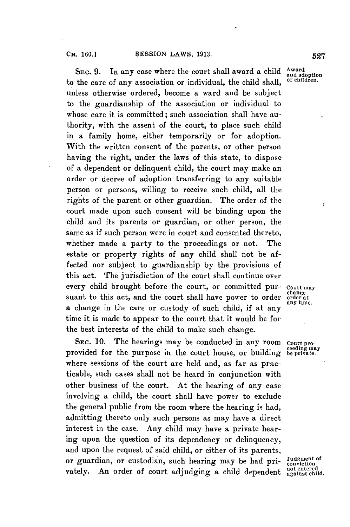SEC. 9. In any case where the court shall award a child Award to the care of any association or individual, the child shall, unless otherwise ordered, become a ward and be subject to the guardianship of the association or individual to whose care it is committed; such association shall have authority, with the assent of the court, to place such child in a family home, either temporarily or for adoption. With the written consent of the parents, or other person having the right, under the laws of this state, to dispose of a dependent or delinquent child, the court may make an order or decree of adoption transferring to any suitable person or persons, willing to receive such child, all the rights of the parent or other guardian. The order of the court made upon such consent will be binding upon the child and its parents or guardian, or other person, the same as if such person were in court and consented thereto, whether made a party to the proceedings or not. The estate or property rights of any child shall not be affected nor subject to guardianship **by** the provisions of this act. The jurisdiction of the court shall continue over every child brought before the court, or committed pur- **Court may** suant to this act, and the court shall have power to order order at a change in the care or custody of such child, if at any time it is made to appear to the court that it would be for the best interests of the child to make such change.

**SEC. 10.** The hearings may be conducted in any room **Court pro-** ceeding may provided for the purpose in the court house, or building **be private.** where sessions of the court are held and, as far as practicable, such cases shall not be heard in conjunction with other business of the court. At the hearing of any case involving a child, the court shall have power to exclude the general public from the room where the hearing is had, admitting thereto only such persons as may have a direct interest in the case. Any child may have a private hearing upon the question of its dependency or delinquency, and upon the request of said child, or either of its parents, or guardian, or custodian, such hearing may be had pri- Judgment of vately. An order of court adjudging a child dependent **not entered** 

**any time.**

**and adoption**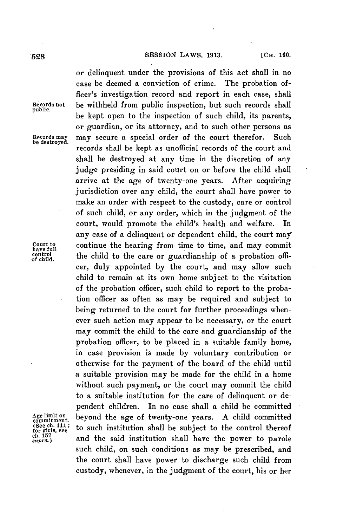### 528 **SESSION LAWS, 1913.** [CH. 160.

**public.**

**be destroyed.**

or delinquent under the provisions of this act shall in no case be deemed a conviction of crime. The probation officer's investigation record and report in each case, shall **Records not** be withheld from public inspection, but such records shall be kept open to the inspection of such child, its parents, or guardian, or its attorney, and to such other persons as **Records may** may secure a special order of the court therefor. Such records shall be kept as unofficial records of the court and shall be destroyed at any time in the discretion of any judge presiding in said court on or before the child shall arrive at the age of twenty-one years. After acquiring jurisdiction over any child, the court shall have power to make an order with respect to the custody, care or control of such child, or any order, which in the judgment of the court, would promote the child's health and welfare. In any case of a delinquent or dependent child, the court may **Court to continue the hearing from time to time, and may commit have full**<br>control the child to the care or quardienship of a probation officontrol the child to the care or guardianship of a probation officer, duly appointed **by** the court, and may allow such child to remain at its own home subject to the visitation of the probation officer, such child to report to the probation officer as often as may be required and subject to being returned to the court for further proceedings whenever such action may appear to be necessary, or the court may commit the child to the care and guardianship of the probation officer, to be placed in a suitable family home, in case provision is made **by** voluntary contribution or otherwise for the payment of the board of the child until a suitable provision may be made for the child in a home without such payment, or the court may commit the child to a suitable institution for the care of delinquent or dependent children. In no case shall a child be committed Age limit on **beyond** the age of twenty-one years. A child committed  $\cos m$  in the subject of the control thereof  $f_{\text{ref}}^{(\text{See ch. 111}; \text{to such institution shall be subject to the control thereof}$ rot gais, see<br>eh. 157 **and the said institution shall have the power to parole** such child, on such conditions as may be prescribed, and the court shall have power to discharge such child from custody, whenever, in the judgment of the court, his or her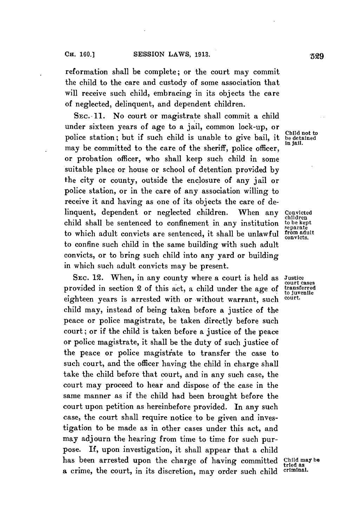reformation shall be complete; or the court may commit the child to the care and custody of some association that will receive such child, embracing in its objects the care of neglected, delinquent, and dependent children.

**SEC.-11.** No court or magistrate shall commit a child under sixteen years of age to a jail, common lock-up, or **Child not to** police station; but if such child is unable to give bail, **it be detained** may be committed to the care of the sheriff, police officer, or probation officer, who shall keep such child in some suitable place or house or school of detention provided **by** the city or county, outside the enclosure of any jail or police station, or in the care of any association willing to receive it and having as one of its objects the care of delinquent, dependent or neglected children. When any **Convicted** child shall be sentenced to confinement in any institution to be kept<br>to which adult convicts are sentenced, it shall be unlawful *tonvadult*<br>convicts. to which adult convicts are sentenced, it shall be unlawful **from adult convicts.** to confine such child in the same building with such adult convicts, or to bring such child into any yard or building in which such adult convicts may be present.

**SEC.** 12. When, in any county where a court is held as **Justice** provided in section 2 of this act, a child under the age of eighteen years is arrested with or without warrant, such child may, instead of being taken before a justice of the peace or police magistrate, be taken directly before such court; or if the child is taken before a justice of the peace or police magistrate, it shall be the duty of such justice of the peace or police magistiate to transfer the case to such court, and the officer having the child in charge shall take the child before that court, and in any such case, the court may proceed to hear and dispose of the case in the same manner as if the child had been brought before the court upon petition as hereinbefore provided. In any such case, the court shall require notice to be given and investigation to be made as in other cases under this act, and may adjourn the hearing from time to time for such purpose. **If,** upon investigation, it shall appear that a child has been arrested upon the charge of having committed **Child may be** a crime, the court, in its discretion, may order such child

**in jail.**

children<br>to be kept

**court cases** to juvenile<br>court.

**tried as**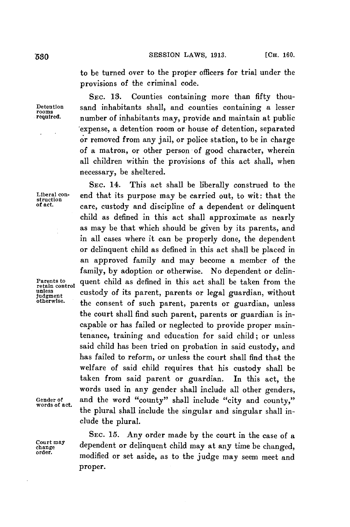**SESSION** LAWS, **1913.** [Cia. **160. '530**

to be turned over to the proper officers for trial under the provisions of the criminal code.

SEC. **13.** Counties containing more than fifty thou-**Detention** sand inhabitants shall, and counties containing a lesser **rooms** number of inhabitants may, provide and maintain at public expense, a detention room or house of detention, separated or removed from any jail, or police station, to be in charge of a matron, or other person of good character, wherein all children within the provisions of this act shall, when necessary, be sheltered.

**SEc.** 14. This act shall be liberally construed to the **Liberal con-** end that its purpose may be carried out, to wit: that the **struction of act.** care, custody and discipline of a dependent or delinquent child as defined in this act shall approximate as nearly as may be that which should be given **by** its parents, and in all cases where it can be properly done, the dependent or delinquent child as defined in this act shall be placed in an approved family and may become a member of the family, **by** adoption or otherwise. No dependent or delin-Parents to quent child as defined in this act shall be taken from the retain control quented v child as a local quention without **unless** custody of its parent, parents or legal guardian, without the consent of such parent, parents or guardian, unless the court shall find such parent, parents or guardian is incapable or has failed or neglected to provide proper maintenance, training and education for said child; or unless said child has been tried on probation in said custody, and has failed to reform, or unless the court shall find that the welfare of said child requires that his custody shall be taken from said parent or guardian. In this act, the words used in any gender shall include all other genders, Gender of and the word "county" shall include "city and county," words of act. the plural shall include the singular and singular shall include the plural.

**SEC. 15.** Any order made **by** the court in the case of a **cortemay** dependent or delinquent child may at any time be changed, **order.** modified or set aside, as to the judge may seem meet and proper.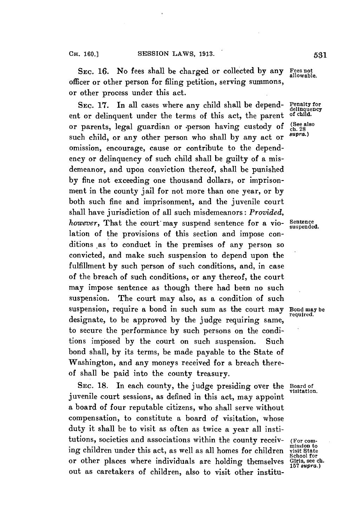**SEC. 16.** No fees shall be charged or collected **by** any Fees not officer or other person for filing petition, serving summons, or other process under this act.

SEC. 17. In all cases where any child shall be depend- Penalty for<br>t or delinguent under the terms of this act, the parent, of child. ent or delinquent under the terms of this act, the parent or parents, legal guardian or person having custody of  $\frac{\text{(See also)}}{\text{ch. 28}}$ such child, or any other person who shall by any act or omission, encourage, cause or contribute to the dependency or delinquency of such child shall be guilty of a misdemeanor, and upon conviction thereof, shall be punished **by** fine not exceeding one thousand dollars, or imprisonment in the county jail for not more than one year, or **by** both such fine and imprisonment, and the juvenile court shall have jurisdiction of all such misdemeanors: *Provided, however*, That the court may suspend sentence for a vio- Sentence lation of the provisions of this section and impose conditions as to conduct in the premises of any person so convicted, and make such suspension to depend upon the fulfillment **by** such person of such conditions, and, in case of the breach of such conditions, or any thereof, the court may impose sentence as though there had been no such suspension. The court may also, as a condition of such suspension, require a bond in such sum as the court may Bond may be designate, to be approved by the judge requiring same, to secure the performance **by** such persons on the conditions imposed **by** the court on such suspension. Such bond shall, **by** its terms, be made payable to the State of Washington, and any moneys received for a breach thereof shall be paid into the county treasury.

**SEC. 18.** In each county, the judge presiding over the Board of juvenile court sessions, as defined in this act, may appoint a board of four reputable citizens, who shall serve without compensation, to constitute a board of visitation, whose duty it shall be to visit as often as twice a year all institutions, societies and associations within the county receiv-<br>ing children under this act, as well as all homes for children visit State or other places where individuals are holding themselves Girls, see ch. out as caretakers of children, also to visit other institu-

visitation.

School for<br>Giris, see ch.